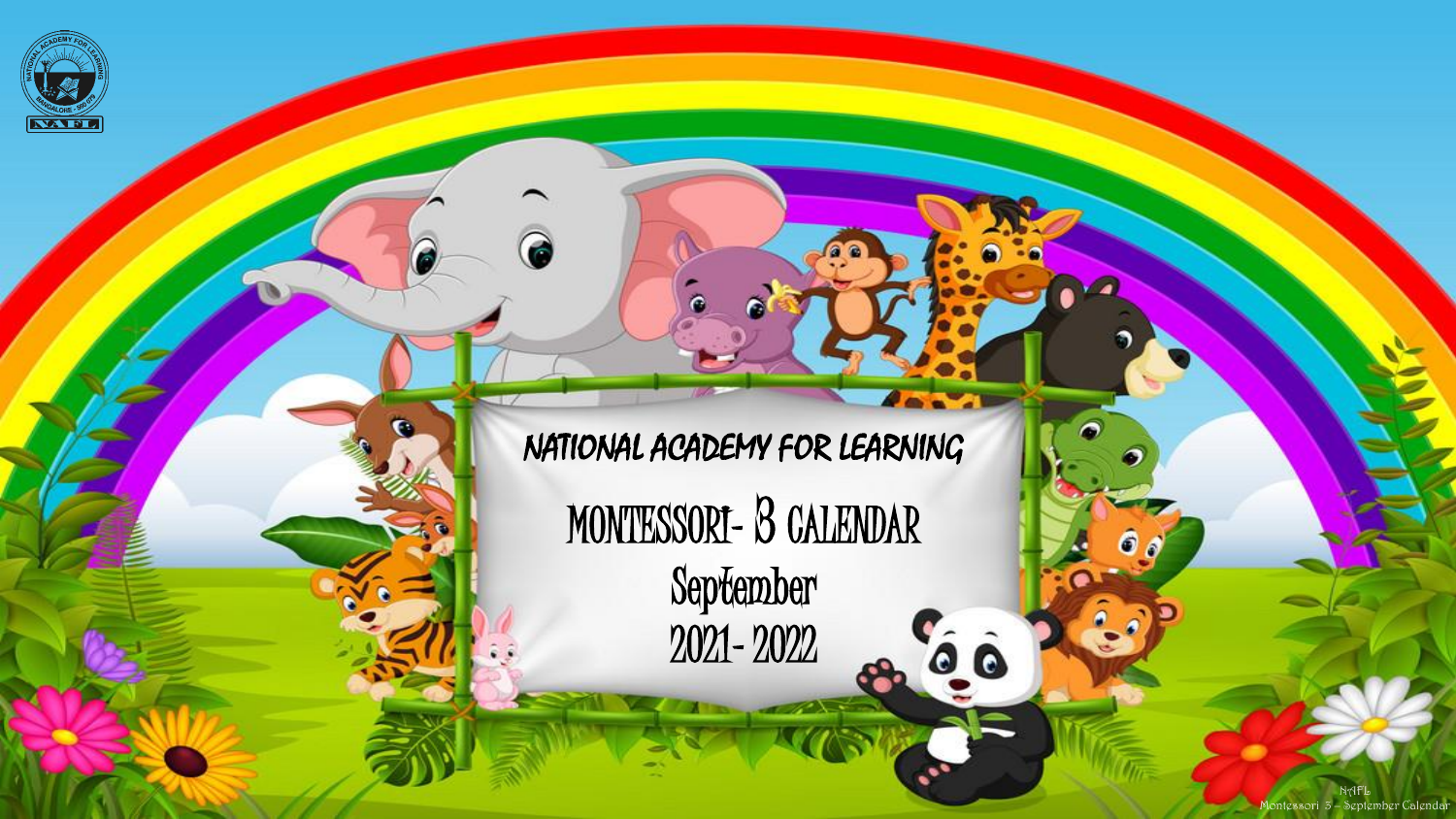

NATIONAL ACADEMY FOR LEARNING

MONTESSORI- B CALENDAR September

2021- 2022

NAFL Montessori 3 – September Calendar

 $\overline{\phantom{a}}$ 

 $0<sub>o</sub>$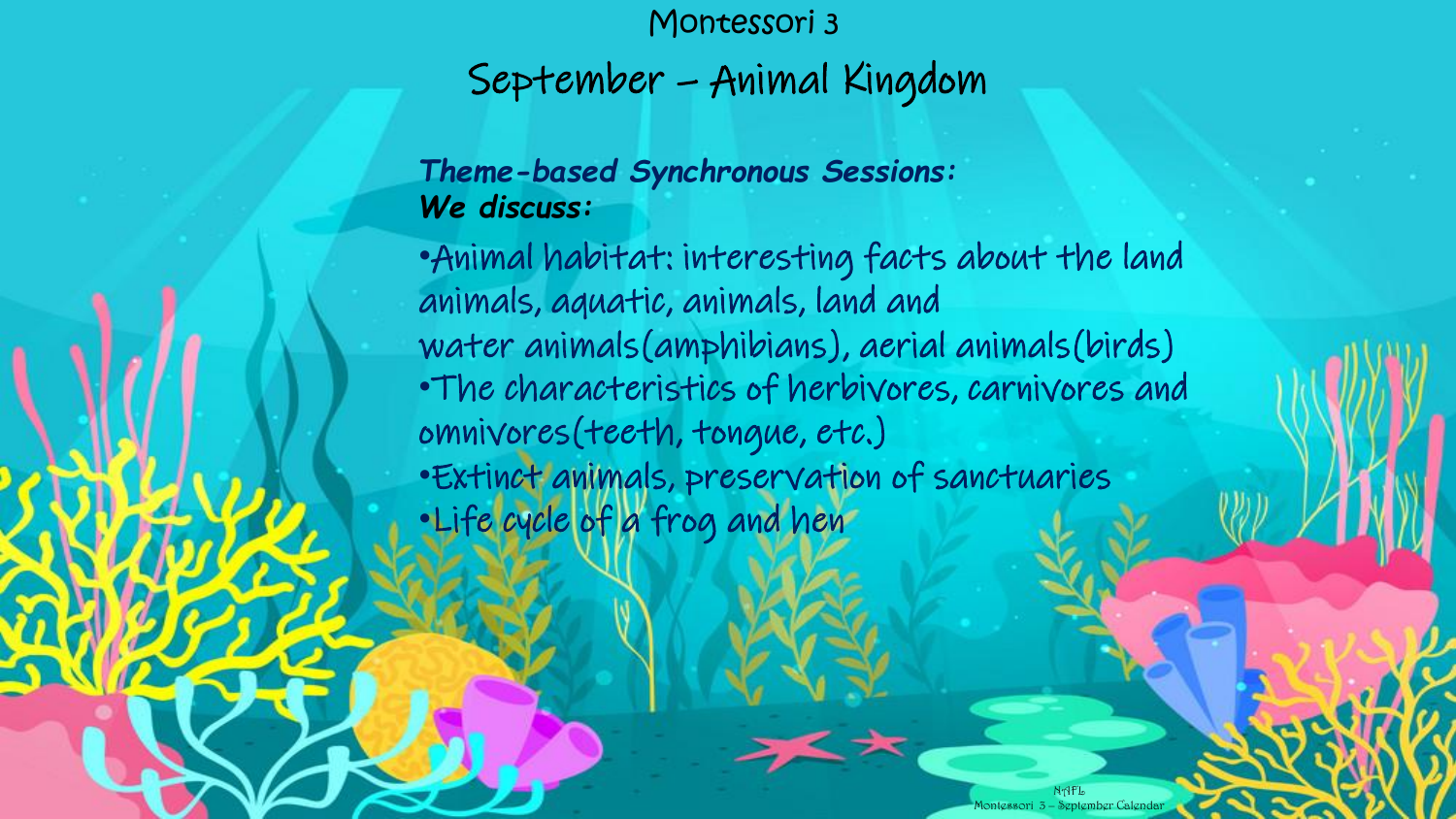Montessori 3 September – Animal Kingdom

## *Theme-based Synchronous Sessions: We discuss:*

•Animal habitat: interesting facts about the land animals, aquatic, animals, land and water animals(amphibians), aerial animals(birds) •The characteristics of herbivores, carnivores and omnivores(teeth, tongue, etc.) •Extinct animals, preservation of sanctuaries •Life cycle of a frog and hen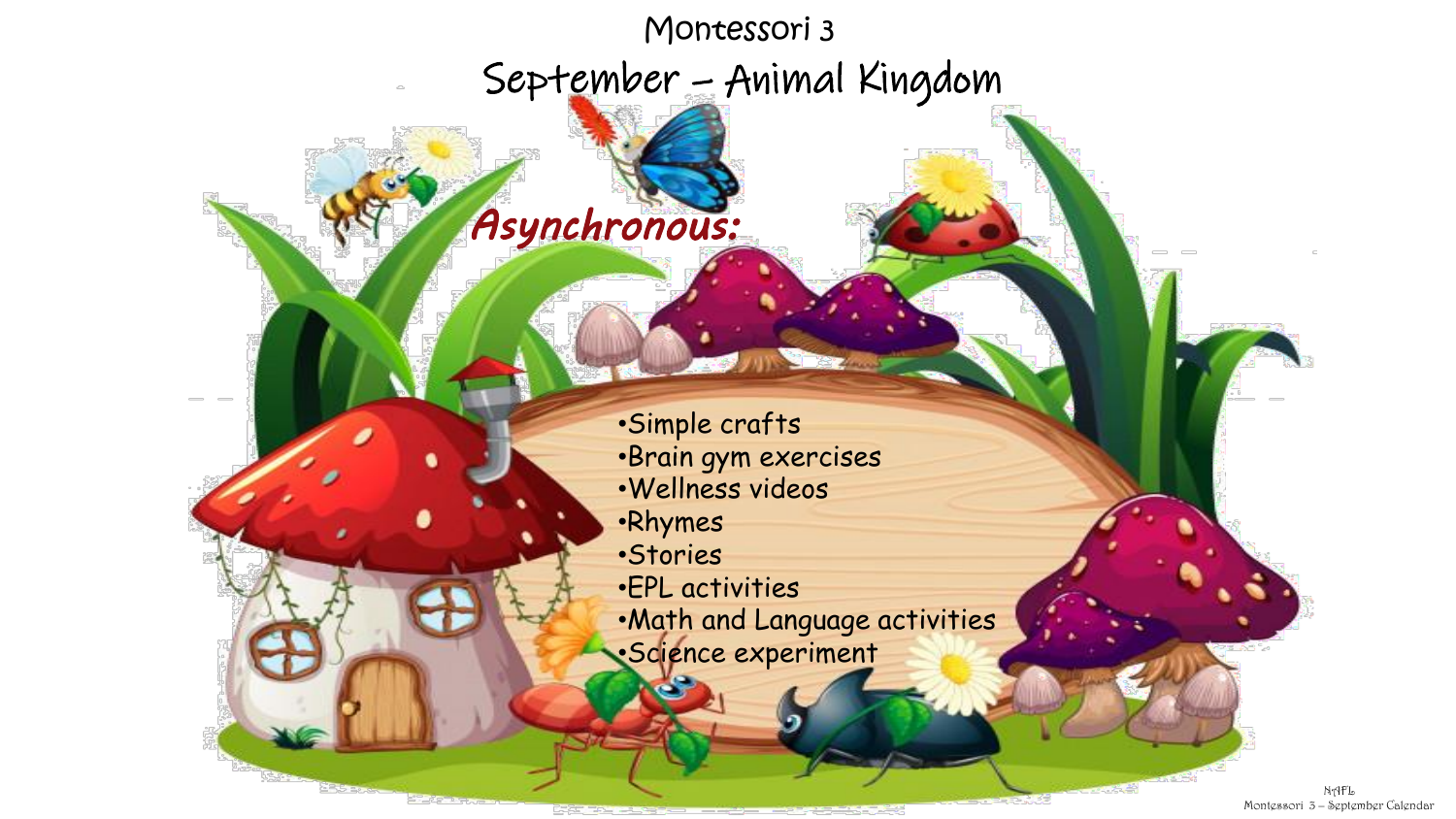*Asynchronous:* Montessori 3 September – Animal Kingdom •Simple crafts •Brain gym exercises •Wellness videos •Rhymes •Stories •EPL activities •Math and Language activities •Science experiment

> NAFL Montessori 3 – September Calendar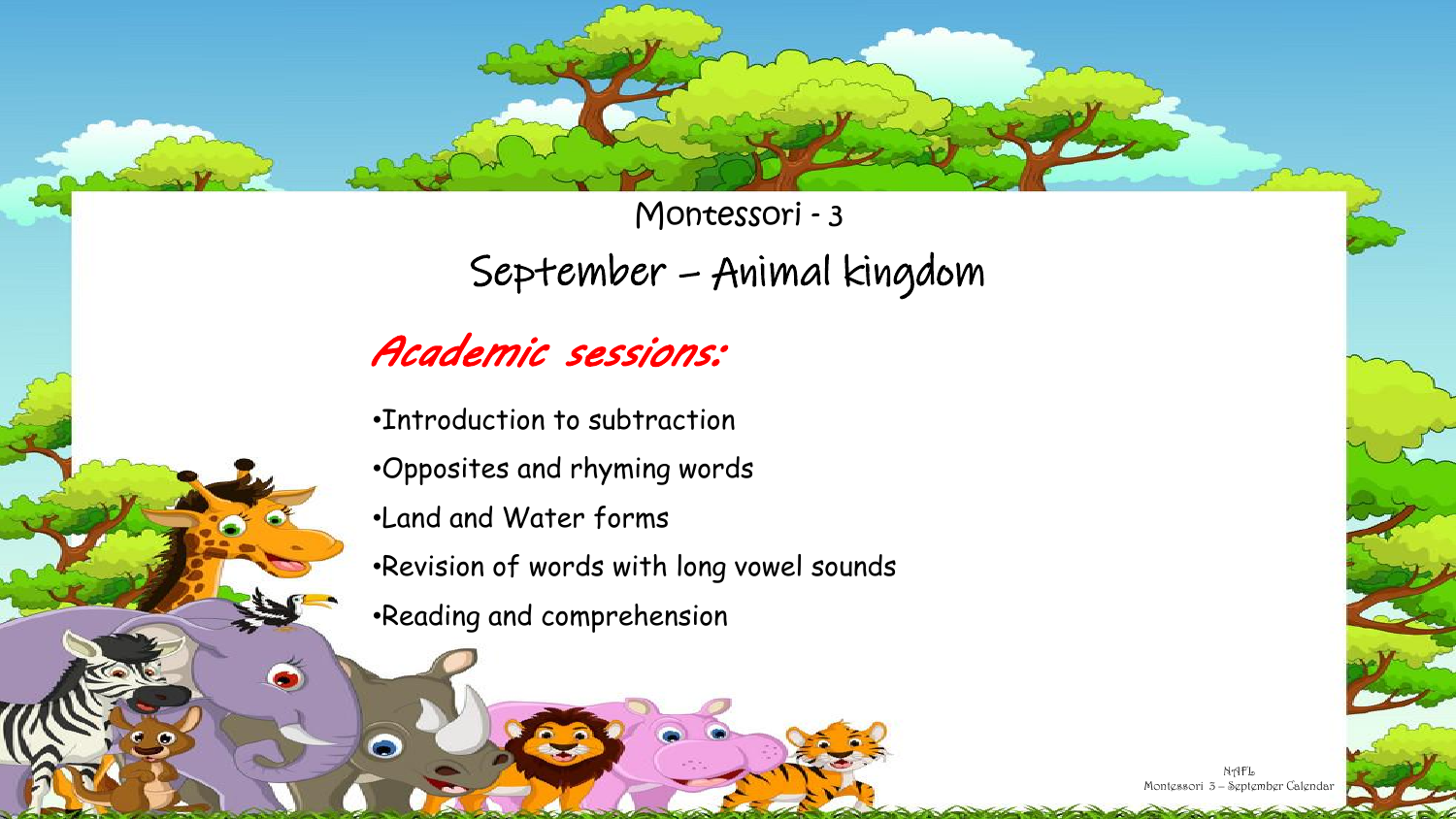Montessori - 3 September – Animal kingdom

## *Academic sessions:*

•Introduction to subtraction

- •Opposites and rhyming words
- •Land and Water forms

 $\bullet$ 

⊝

- •Revision of words with long vowel sounds
- •Reading and comprehension

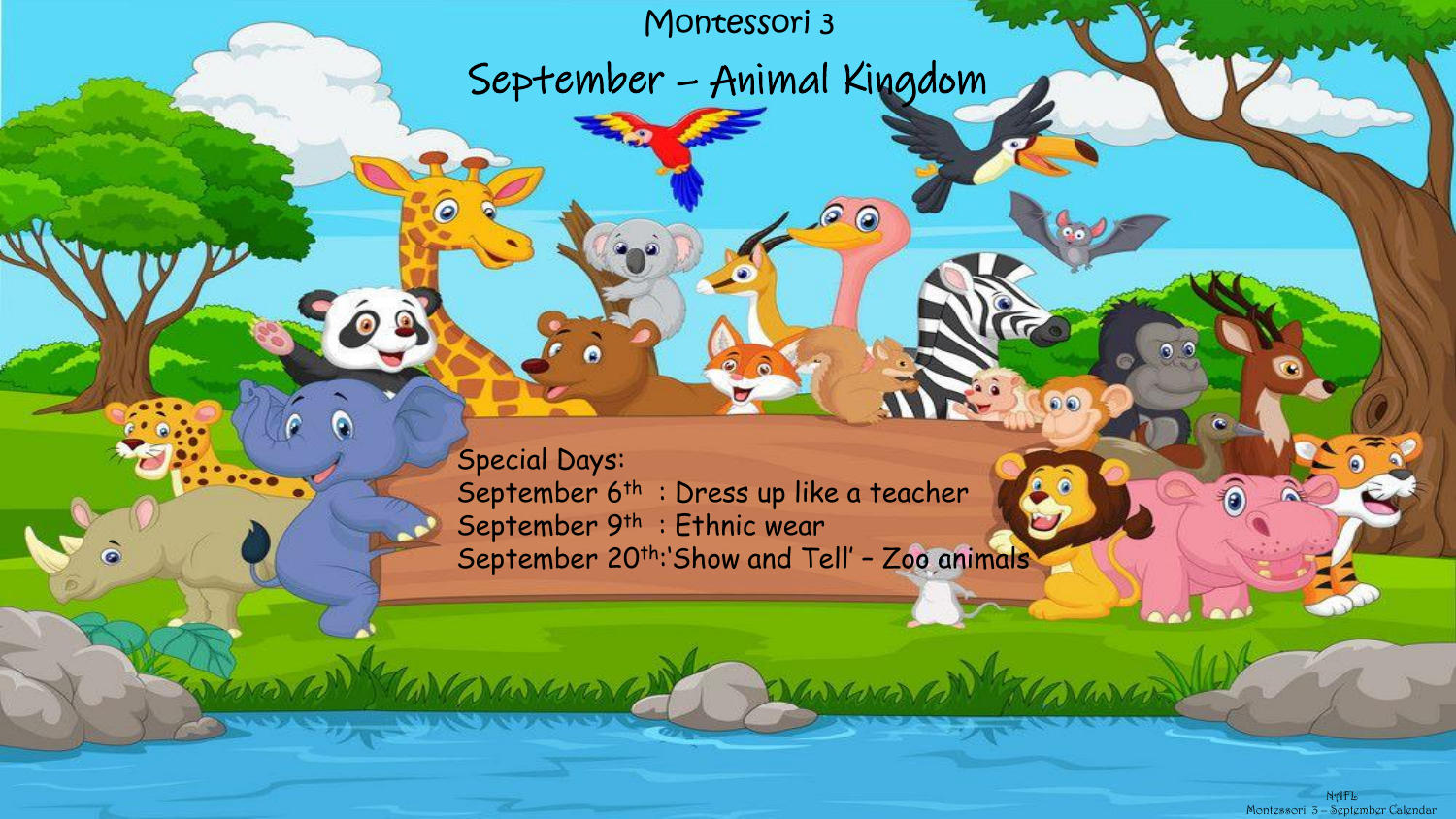Montessori 3

◎

 $\circledcirc$ 

(Marcanard)

September – Animal Kingdom

Special Days: September 6<sup>th</sup>: Dress up like a teacher September 9<sup>th</sup> : Ethnic wear September 20<sup>th</sup>:'Show and Tell' - Zoo animals

O

Wa Mwana Ma

õ

MAFL – August Calendary 1 NAFL – August Calendary 1 NAFL – August Calendary 1 NAFL – August Calendary 1 NAFL – August Calendary 1 NAFL – August Calendary 1 NAFL – August Calendary 1 NAFL – August Calendary 1 NAFL – August Montessori 3 – September Calendar

 $00$ 

 $\widehat{\mathbf{0}}$ 

 $00$ 

 $00$ 

1. Marchan